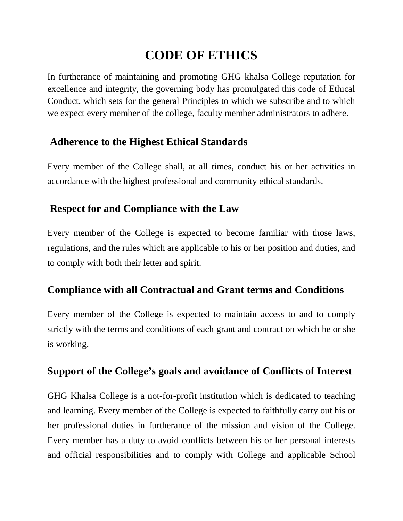# **CODE OF ETHICS**

In furtherance of maintaining and promoting GHG khalsa College reputation for excellence and integrity, the governing body has promulgated this code of Ethical Conduct, which sets for the general Principles to which we subscribe and to which we expect every member of the college, faculty member administrators to adhere.

### **Adherence to the Highest Ethical Standards**

Every member of the College shall, at all times, conduct his or her activities in accordance with the highest professional and community ethical standards.

## **Respect for and Compliance with the Law**

Every member of the College is expected to become familiar with those laws, regulations, and the rules which are applicable to his or her position and duties, and to comply with both their letter and spirit.

### **Compliance with all Contractual and Grant terms and Conditions**

Every member of the College is expected to maintain access to and to comply strictly with the terms and conditions of each grant and contract on which he or she is working.

### **Support of the College's goals and avoidance of Conflicts of Interest**

GHG Khalsa College is a not-for-profit institution which is dedicated to teaching and learning. Every member of the College is expected to faithfully carry out his or her professional duties in furtherance of the mission and vision of the College. Every member has a duty to avoid conflicts between his or her personal interests and official responsibilities and to comply with College and applicable School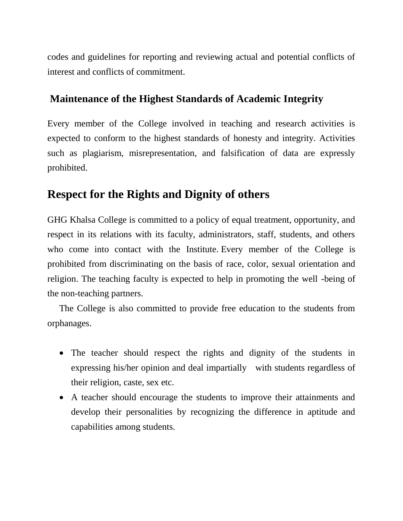codes and guidelines for reporting and reviewing actual and potential conflicts of interest and conflicts of commitment.

#### **Maintenance of the Highest Standards of Academic Integrity**

Every member of the College involved in teaching and research activities is expected to conform to the highest standards of honesty and integrity. Activities such as plagiarism, misrepresentation, and falsification of data are expressly prohibited.

### **Respect for the Rights and Dignity of others**

GHG Khalsa College is committed to a policy of equal treatment, opportunity, and respect in its relations with its faculty, administrators, staff, students, and others who come into contact with the Institute. Every member of the College is prohibited from discriminating on the basis of race, color, sexual orientation and religion. The teaching faculty is expected to help in promoting the well -being of the non-teaching partners.

The College is also committed to provide free education to the students from orphanages.

- The teacher should respect the rights and dignity of the students in expressing his/her opinion and deal impartially with students regardless of their religion, caste, sex etc.
- A teacher should encourage the students to improve their attainments and develop their personalities by recognizing the difference in aptitude and capabilities among students.